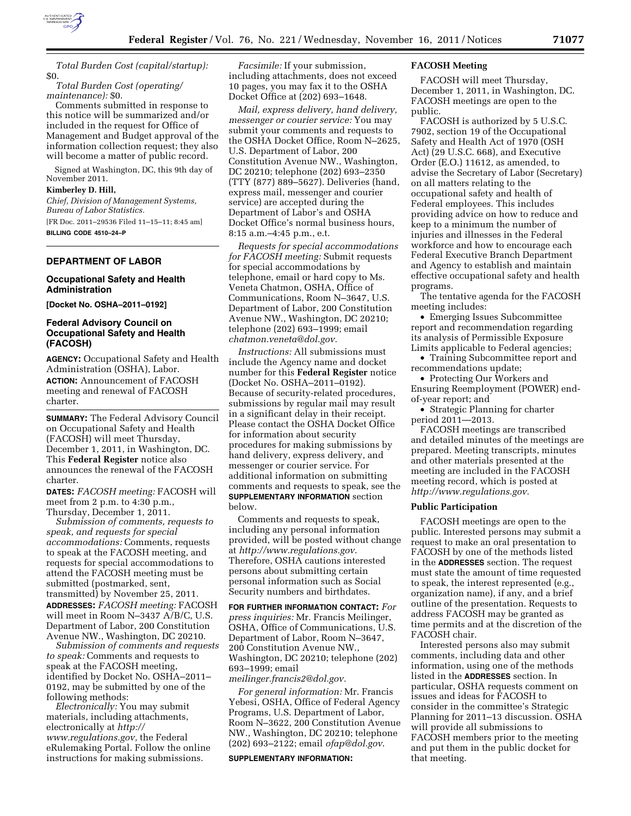

*Total Burden Cost (capital/startup):*  \$0.

*Total Burden Cost (operating/ maintenance):* \$0.

Comments submitted in response to this notice will be summarized and/or included in the request for Office of Management and Budget approval of the information collection request; they also will become a matter of public record.

Signed at Washington, DC, this 9th day of November 2011.

**Kimberley D. Hill,** 

*Chief, Division of Management Systems, Bureau of Labor Statistics.*  [FR Doc. 2011–29536 Filed 11–15–11; 8:45 am] **BILLING CODE 4510–24–P** 

## **DEPARTMENT OF LABOR**

## **Occupational Safety and Health Administration**

**[Docket No. OSHA–2011–0192]** 

## **Federal Advisory Council on Occupational Safety and Health (FACOSH)**

**AGENCY:** Occupational Safety and Health Administration (OSHA), Labor. **ACTION:** Announcement of FACOSH meeting and renewal of FACOSH charter.

**SUMMARY:** The Federal Advisory Council on Occupational Safety and Health (FACOSH) will meet Thursday, December 1, 2011, in Washington, DC. This **Federal Register** notice also announces the renewal of the FACOSH charter.

**DATES:** *FACOSH meeting:* FACOSH will meet from 2 p.m. to 4:30 p.m., Thursday, December 1, 2011.

*Submission of comments, requests to speak, and requests for special accommodations:* Comments, requests to speak at the FACOSH meeting, and requests for special accommodations to attend the FACOSH meeting must be submitted (postmarked, sent, transmitted) by November 25, 2011. **ADDRESSES:** *FACOSH meeting:* FACOSH will meet in Room N–3437 A/B/C, U.S. Department of Labor, 200 Constitution Avenue NW., Washington, DC 20210.

*Submission of comments and requests to speak:* Comments and requests to speak at the FACOSH meeting, identified by Docket No. OSHA–2011– 0192, may be submitted by one of the following methods:

*Electronically:* You may submit materials, including attachments, electronically at *[http://](http://www.regulations.gov) [www.regulations.gov,](http://www.regulations.gov)* the Federal eRulemaking Portal. Follow the online instructions for making submissions.

*Facsimile:* If your submission, including attachments, does not exceed 10 pages, you may fax it to the OSHA Docket Office at (202) 693–1648.

*Mail, express delivery, hand delivery, messenger or courier service:* You may submit your comments and requests to the OSHA Docket Office, Room N–2625, U.S. Department of Labor, 200 Constitution Avenue NW., Washington, DC 20210; telephone (202) 693–2350 (TTY (877) 889–5627). Deliveries (hand, express mail, messenger and courier service) are accepted during the Department of Labor's and OSHA Docket Office's normal business hours, 8:15 a.m.–4:45 p.m., e.t.

*Requests for special accommodations for FACOSH meeting:* Submit requests for special accommodations by telephone, email or hard copy to Ms. Veneta Chatmon, OSHA, Office of Communications, Room N–3647, U.S. Department of Labor, 200 Constitution Avenue NW., Washington, DC 20210; telephone (202) 693–1999; email *[chatmon.veneta@dol.gov.](mailto:chatmon.veneta@dol.gov)* 

*Instructions:* All submissions must include the Agency name and docket number for this **Federal Register** notice (Docket No. OSHA–2011–0192). Because of security-related procedures, submissions by regular mail may result in a significant delay in their receipt. Please contact the OSHA Docket Office for information about security procedures for making submissions by hand delivery, express delivery, and messenger or courier service. For additional information on submitting comments and requests to speak, see the **SUPPLEMENTARY INFORMATION** section below.

Comments and requests to speak, including any personal information provided, will be posted without change at *<http://www.regulations.gov>*. Therefore, OSHA cautions interested persons about submitting certain personal information such as Social Security numbers and birthdates.

**FOR FURTHER INFORMATION CONTACT:** *For press inquiries:* Mr. Francis Meilinger, OSHA, Office of Communications, U.S. Department of Labor, Room N–3647, 200 Constitution Avenue NW., Washington, DC 20210; telephone (202) 693–1999; email

## *[meilinger.francis2@dol.gov.](mailto:meilinger.francis2@dol.gov)*

*For general information:* Mr. Francis Yebesi, OSHA, Office of Federal Agency Programs, U.S. Department of Labor, Room N–3622, 200 Constitution Avenue NW., Washington, DC 20210; telephone (202) 693–2122; email *[ofap@dol.gov](mailto:ofap@dol.gov)*.

#### **SUPPLEMENTARY INFORMATION:**

### **FACOSH Meeting**

FACOSH will meet Thursday, December 1, 2011, in Washington, DC. FACOSH meetings are open to the public.

FACOSH is authorized by 5 U.S.C. 7902, section 19 of the Occupational Safety and Health Act of 1970 (OSH Act) (29 U.S.C. 668), and Executive Order (E.O.) 11612, as amended, to advise the Secretary of Labor (Secretary) on all matters relating to the occupational safety and health of Federal employees. This includes providing advice on how to reduce and keep to a minimum the number of injuries and illnesses in the Federal workforce and how to encourage each Federal Executive Branch Department and Agency to establish and maintain effective occupational safety and health programs.

The tentative agenda for the FACOSH meeting includes:

• Emerging Issues Subcommittee report and recommendation regarding its analysis of Permissible Exposure Limits applicable to Federal agencies;

• Training Subcommittee report and recommendations update;

• Protecting Our Workers and Ensuring Reemployment (POWER) endof-year report; and

• Strategic Planning for charter period 2011—2013.

FACOSH meetings are transcribed and detailed minutes of the meetings are prepared. Meeting transcripts, minutes and other materials presented at the meeting are included in the FACOSH meeting record, which is posted at *[http://www.regulations.gov.](http://www.regulations.gov)* 

#### **Public Participation**

FACOSH meetings are open to the public. Interested persons may submit a request to make an oral presentation to FACOSH by one of the methods listed in the **ADDRESSES** section. The request must state the amount of time requested to speak, the interest represented (e.g., organization name), if any, and a brief outline of the presentation. Requests to address FACOSH may be granted as time permits and at the discretion of the FACOSH chair.

Interested persons also may submit comments, including data and other information, using one of the methods listed in the **ADDRESSES** section. In particular, OSHA requests comment on issues and ideas for FACOSH to consider in the committee's Strategic Planning for 2011–13 discussion. OSHA will provide all submissions to FACOSH members prior to the meeting and put them in the public docket for that meeting.